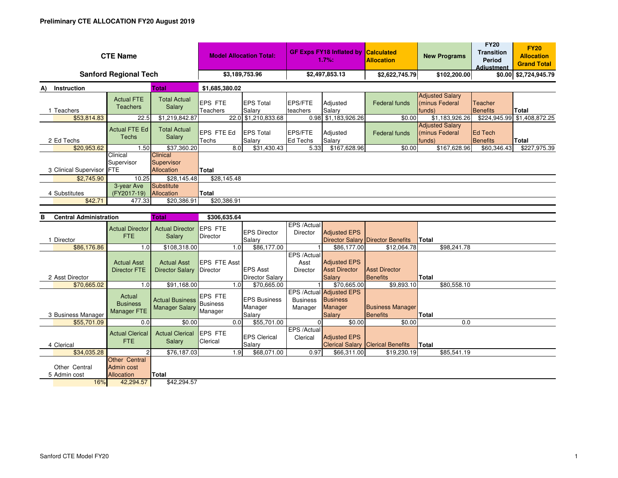| <b>CTE Name</b>                      | <b>Model Allocation Total:</b>                                |                                                 | <b>GF Exps FY18 Inflated by</b><br>1.7%: |                                          | <b>Calculated</b><br><b>Allocation</b> | <b>New Programs</b>                                                            | <b>FY20</b><br><b>Transition</b><br>Period<br><b>Adiustment</b> | <b>FY20</b><br><b>Allocation</b><br><b>Grand Total</b> |                            |                             |  |
|--------------------------------------|---------------------------------------------------------------|-------------------------------------------------|------------------------------------------|------------------------------------------|----------------------------------------|--------------------------------------------------------------------------------|-----------------------------------------------------------------|--------------------------------------------------------|----------------------------|-----------------------------|--|
| <b>Sanford Regional Tech</b>         | \$3,189,753.96                                                |                                                 | \$2,497,853.13                           |                                          | \$2,622,745.79                         | \$102,200.00                                                                   |                                                                 | \$0.00 \$2,724,945.79                                  |                            |                             |  |
| <b>Instruction</b><br>A)             | Total                                                         |                                                 | \$1,685,380.02                           |                                          |                                        |                                                                                |                                                                 |                                                        |                            |                             |  |
| 1 Teachers                           | <b>Actual FTE</b><br><b>Teachers</b>                          | <b>Total Actual</b><br>Salary                   | <b>EPS FTE</b><br>Teachers               | <b>EPS Total</b><br>Salary               | <b>EPS/FTE</b><br>teachers             | Adjusted<br>Salary                                                             | <b>Federal funds</b>                                            | <b>Adjusted Salary</b><br>(minus Federal<br>funds)     | Teacher<br><b>Benefits</b> | <b>Total</b>                |  |
| \$53,814.83                          | 22.5                                                          | \$1,219,842.87                                  | 22.0                                     | \$1,210,833.68                           |                                        | 0.98 \$1,183,926.26                                                            | \$0.00                                                          | \$1,183,926.26                                         |                            | \$224,945.99 \$1,408,872.25 |  |
| 2 Ed Techs                           | <b>Actual FTE Ed</b><br><b>Techs</b>                          | <b>Total Actual</b><br>Salary                   | EPS FTE Ed<br>Techs                      | <b>EPS Total</b><br>Salary               | EPS/FTE<br><b>Ed Techs</b>             | Adjusted<br>Salary                                                             | Federal funds                                                   | <b>Adjusted Salary</b><br>(minus Federal<br>funds)     | Ed Tech<br>Benefits        | <b>Total</b>                |  |
| \$20,953.62                          | 1.50                                                          | \$37,360.20                                     | 8.0                                      | \$31,430.43                              | 5.33                                   | \$167,628.96                                                                   | \$0.00                                                          | \$167,628.96                                           | \$60,346.43                | \$227,975.39                |  |
| 3 Clinical Supervisor FTE            | Clinical<br>Supervisor                                        | Clinical<br>Supervisor<br>Allocation            | Total                                    |                                          |                                        |                                                                                |                                                                 |                                                        |                            |                             |  |
| \$2,745.90                           | 10.25                                                         | \$28.145.48                                     |                                          | \$28,145.48                              |                                        |                                                                                |                                                                 |                                                        |                            |                             |  |
| 4 Substitutes                        | 3-year Ave<br>(FY2017-19)                                     | <b>Substitute</b><br>Allocation                 | <b>Total</b>                             |                                          |                                        |                                                                                |                                                                 |                                                        |                            |                             |  |
| \$42.71                              | 477.33                                                        | \$20,386.91                                     | \$20,386.91                              |                                          |                                        |                                                                                |                                                                 |                                                        |                            |                             |  |
|                                      |                                                               |                                                 |                                          |                                          |                                        |                                                                                |                                                                 |                                                        |                            |                             |  |
| <b>Central Administration</b><br>в   |                                                               | <b>Total</b>                                    | \$306,635.64                             |                                          |                                        |                                                                                |                                                                 |                                                        |                            |                             |  |
| 1 Director                           | <b>Actual Director</b><br><b>FTE</b>                          | <b>Actual Director</b><br>Salary                | EPS FTE<br>Director                      | <b>EPS Director</b><br>Salary            | EPS /Actual<br>Director                | <b>Adjusted EPS</b>                                                            | Director Salary Director Benefits                               | Total                                                  |                            |                             |  |
| \$86,176.86                          | 1.0                                                           | \$108,318.00                                    | 1.0                                      | \$86,177.00                              |                                        | \$86,177.00                                                                    | \$12,064.78                                                     | \$98,241.78                                            |                            |                             |  |
| 2 Asst Director                      | <b>Actual Asst</b><br><b>Director FTE</b>                     | <b>Actual Asst</b><br><b>Director Salary</b>    | <b>EPS FTE Asst</b><br>Director          | <b>EPS Asst</b><br>Director Salary       | EPS /Actual<br>Asst<br>Director        | <b>Adjusted EPS</b><br><b>Asst Director</b><br>Salarv                          | <b>Asst Director</b><br><b>Benefits</b>                         | <b>Total</b>                                           |                            |                             |  |
| \$70,665.02                          | 1.0                                                           | \$91,168.00                                     | 1.0                                      | \$70,665.00                              |                                        | \$70,665.00                                                                    | \$9.893.10                                                      | \$80,558.10                                            |                            |                             |  |
| 3 Business Manager                   | Actual<br><b>Business</b><br><b>Manager FTE</b>               | <b>Actual Business</b><br><b>Manager Salary</b> | EPS FTE<br><b>Business</b><br>Manager    | <b>EPS Business</b><br>Manager<br>Salary | <b>Business</b><br>Manager             | <b>EPS /Actual Adjusted EPS</b><br><b>Business</b><br><b>Manager</b><br>Salary | <b>Business Manager</b><br><b>Benefits</b>                      | <b>Total</b>                                           |                            |                             |  |
| \$55,701.09                          | 0.0                                                           | \$0.00                                          | 0.0                                      | \$55,701.00                              | $\Omega$                               | \$0.00                                                                         | \$0.00                                                          | 0.0                                                    |                            |                             |  |
| 4 Clerical                           | <b>Actual Clerical</b><br><b>FTE</b>                          | <b>Actual Clerical</b><br>Salary                | <b>EPS FTE</b><br>Clerical               | <b>EPS Clerical</b><br>Salary            | EPS /Actual<br>Clerical                | <b>Adjusted EPS</b><br><b>Clerical Salary</b>                                  | <b>Clerical Benefits</b>                                        | Total                                                  |                            |                             |  |
| \$34,035.28                          | 2                                                             | \$76,187.03                                     | 1.9                                      | \$68,071.00                              | 0.97                                   | \$66,311.00                                                                    | \$19,230.19                                                     | \$85,541.19                                            |                            |                             |  |
| Other Central<br>5 Admin cost<br>16% | <b>Other Central</b><br>Admin cost<br>Allocation<br>42,294.57 | Total<br>\$42,294.57                            |                                          |                                          |                                        |                                                                                |                                                                 |                                                        |                            |                             |  |